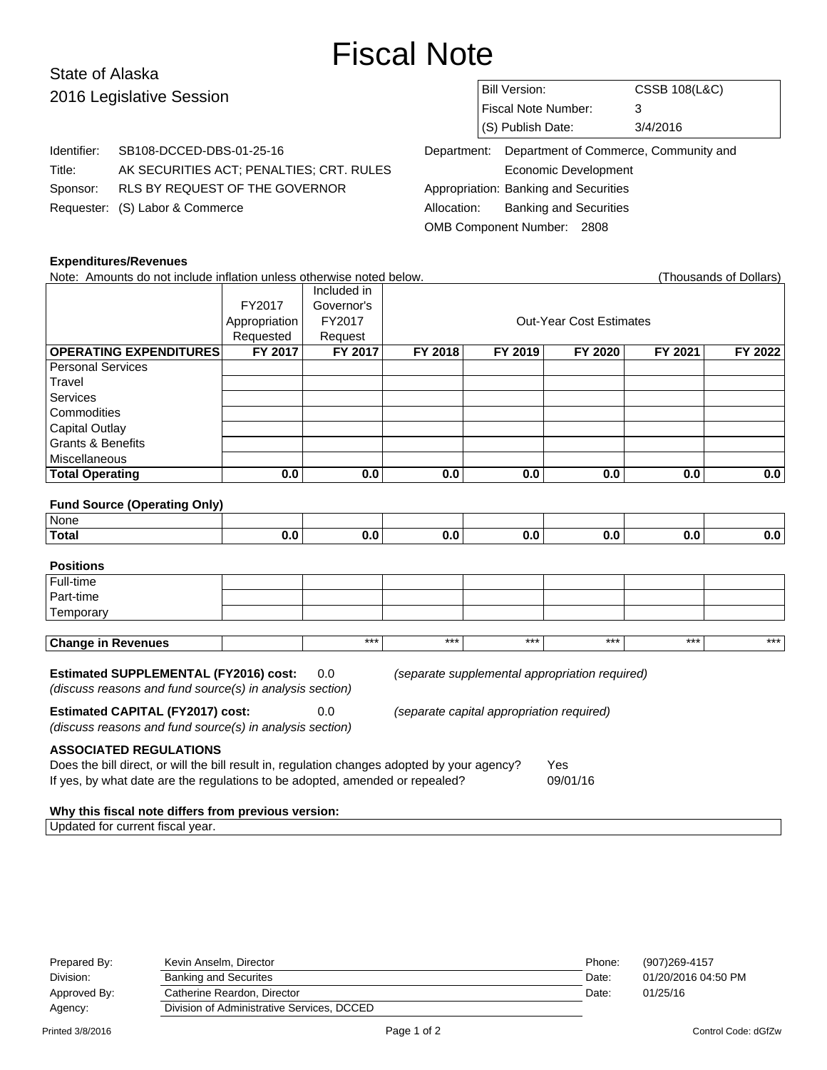# Fiscal Note

# State of Alaska 2016 Legislative Session

Identifier: SB108-DCCED-DBS-01-25-16

Requester: (S) Labor & Commerce

Title: AK SECURITIES ACT; PENALTIES; CRT. RULES

Sponsor: RLS BY REQUEST OF THE GOVERNOR

|                                                   | Bill Version:       | <b>CSSB 108(L&amp;C)</b> |  |  |  |  |
|---------------------------------------------------|---------------------|--------------------------|--|--|--|--|
|                                                   | Fiscal Note Number: | 3                        |  |  |  |  |
|                                                   | (S) Publish Date:   | 3/4/2016                 |  |  |  |  |
| Department: Department of Commerce, Community and |                     |                          |  |  |  |  |

Economic Development Appropriation: Banking and Securities Allocation: Banking and Securities OMB Component Number: 2808

#### **Expenditures/Revenues**

| Note: Amounts do not include inflation unless otherwise noted below.                                                                                                                                                                    |                                                     |                |         |         |                                |         | (Thousands of Dollars) |  |  |  |
|-----------------------------------------------------------------------------------------------------------------------------------------------------------------------------------------------------------------------------------------|-----------------------------------------------------|----------------|---------|---------|--------------------------------|---------|------------------------|--|--|--|
|                                                                                                                                                                                                                                         |                                                     | Included in    |         |         |                                |         |                        |  |  |  |
|                                                                                                                                                                                                                                         | FY2017                                              | Governor's     |         |         |                                |         |                        |  |  |  |
|                                                                                                                                                                                                                                         | Appropriation                                       | FY2017         |         |         | <b>Out-Year Cost Estimates</b> |         |                        |  |  |  |
|                                                                                                                                                                                                                                         | Requested                                           | Request        |         |         |                                |         |                        |  |  |  |
| <b>OPERATING EXPENDITURES</b>                                                                                                                                                                                                           | <b>FY 2017</b>                                      | <b>FY 2017</b> | FY 2018 | FY 2019 | FY 2020                        | FY 2021 | FY 2022                |  |  |  |
| Personal Services                                                                                                                                                                                                                       |                                                     |                |         |         |                                |         |                        |  |  |  |
| Travel                                                                                                                                                                                                                                  |                                                     |                |         |         |                                |         |                        |  |  |  |
| Services                                                                                                                                                                                                                                |                                                     |                |         |         |                                |         |                        |  |  |  |
| Commodities                                                                                                                                                                                                                             |                                                     |                |         |         |                                |         |                        |  |  |  |
| <b>Capital Outlay</b>                                                                                                                                                                                                                   |                                                     |                |         |         |                                |         |                        |  |  |  |
| <b>Grants &amp; Benefits</b>                                                                                                                                                                                                            |                                                     |                |         |         |                                |         |                        |  |  |  |
| Miscellaneous                                                                                                                                                                                                                           |                                                     |                |         |         |                                |         |                        |  |  |  |
| <b>Total Operating</b>                                                                                                                                                                                                                  | 0.0                                                 | 0.0            | 0.0     | 0.0     | 0.0                            | 0.0     | 0.0                    |  |  |  |
|                                                                                                                                                                                                                                         |                                                     |                |         |         |                                |         |                        |  |  |  |
| <b>Fund Source (Operating Only)</b>                                                                                                                                                                                                     |                                                     |                |         |         |                                |         |                        |  |  |  |
| None                                                                                                                                                                                                                                    |                                                     |                |         |         |                                |         |                        |  |  |  |
| <b>Total</b>                                                                                                                                                                                                                            | 0.0                                                 | 0.0            | 0.0     | 0.0     | 0.0                            | 0.0     | 0.0                    |  |  |  |
| <b>Positions</b>                                                                                                                                                                                                                        |                                                     |                |         |         |                                |         |                        |  |  |  |
| Full-time                                                                                                                                                                                                                               |                                                     |                |         |         |                                |         |                        |  |  |  |
| Part-time                                                                                                                                                                                                                               |                                                     |                |         |         |                                |         |                        |  |  |  |
| Temporary                                                                                                                                                                                                                               |                                                     |                |         |         |                                |         |                        |  |  |  |
|                                                                                                                                                                                                                                         |                                                     |                |         |         |                                |         |                        |  |  |  |
| <b>Change in Revenues</b>                                                                                                                                                                                                               |                                                     | $***$          | ***     | $***$   | $***$                          | $***$   | $***$                  |  |  |  |
| Estimated SUPPLEMENTAL (FY2016) cost:<br>(separate supplemental appropriation required)<br>0.0<br>(discuss reasons and fund source(s) in analysis section)                                                                              |                                                     |                |         |         |                                |         |                        |  |  |  |
| <b>Estimated CAPITAL (FY2017) cost:</b><br>0.0<br>(separate capital appropriation required)<br>(discuss reasons and fund source(s) in analysis section)                                                                                 |                                                     |                |         |         |                                |         |                        |  |  |  |
| <b>ASSOCIATED REGULATIONS</b><br>Does the bill direct, or will the bill result in, regulation changes adopted by your agency?<br><b>Yes</b><br>If yes, by what date are the regulations to be adopted, amended or repealed?<br>09/01/16 |                                                     |                |         |         |                                |         |                        |  |  |  |
|                                                                                                                                                                                                                                         | Why this fiscal note differs from previous version: |                |         |         |                                |         |                        |  |  |  |
| Updated for current fiscal year.                                                                                                                                                                                                        |                                                     |                |         |         |                                |         |                        |  |  |  |

| Prepared By: | Kevin Anselm, Director                     | Phone: | (907) 269-4157      |
|--------------|--------------------------------------------|--------|---------------------|
| Division:    | <b>Banking and Securites</b>               | Date:  | 01/20/2016 04:50 PM |
| Approved By: | Catherine Reardon, Director                | Date:  | 01/25/16            |
| Agency:      | Division of Administrative Services, DCCED |        |                     |
|              |                                            |        |                     |